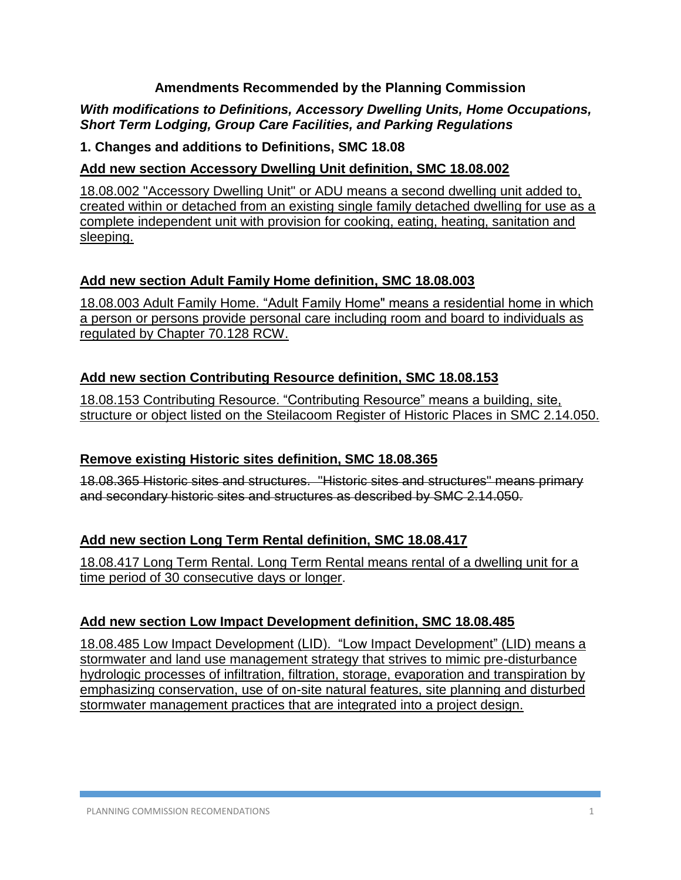#### **Amendments Recommended by the Planning Commission**

### *With modifications to Definitions, Accessory Dwelling Units, Home Occupations, Short Term Lodging, Group Care Facilities, and Parking Regulations*

#### **1. Changes and additions to Definitions, SMC 18.08**

### **Add new section Accessory Dwelling Unit definition, SMC 18.08.002**

18.08.002 "Accessory Dwelling Unit" or ADU means a second dwelling unit added to, created within or detached from an existing single family detached dwelling for use as a complete independent unit with provision for cooking, eating, heating, sanitation and sleeping.

#### **Add new section Adult Family Home definition, SMC 18.08.003**

18.08.003 Adult Family Home. "Adult Family Home" means a residential home in which a person or persons provide personal care including room and board to individuals as regulated by Chapter 70.128 RCW.

#### **Add new section Contributing Resource definition, SMC 18.08.153**

18.08.153 Contributing Resource. "Contributing Resource" means a building, site, structure or object listed on the Steilacoom Register of Historic Places in SMC 2.14.050.

### **Remove existing Historic sites definition, SMC 18.08.365**

18.08.365 Historic sites and structures. "Historic sites and structures" means primary and secondary historic sites and structures as described by SMC 2.14.050.

### **Add new section Long Term Rental definition, SMC 18.08.417**

18.08.417 Long Term Rental. Long Term Rental means rental of a dwelling unit for a time period of 30 consecutive days or longer.

### **Add new section Low Impact Development definition, SMC 18.08.485**

18.08.485 Low Impact Development (LID). "Low Impact Development" (LID) means a stormwater and land use management strategy that strives to mimic pre-disturbance hydrologic processes of infiltration, filtration, storage, evaporation and transpiration by emphasizing conservation, use of on-site natural features, site planning and disturbed stormwater management practices that are integrated into a project design.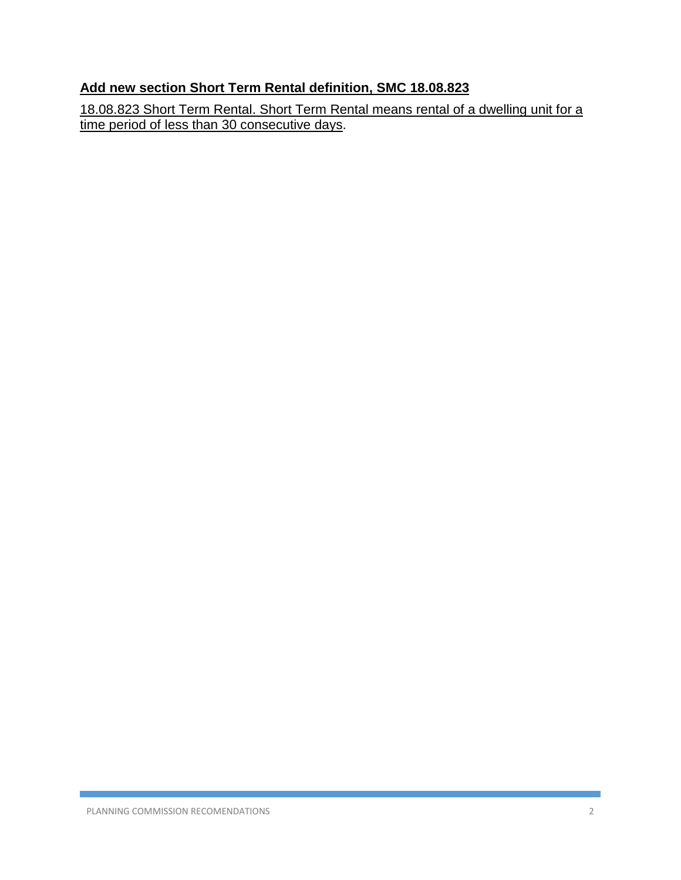# **Add new section Short Term Rental definition, SMC 18.08.823**

18.08.823 Short Term Rental. Short Term Rental means rental of a dwelling unit for a time period of less than 30 consecutive days.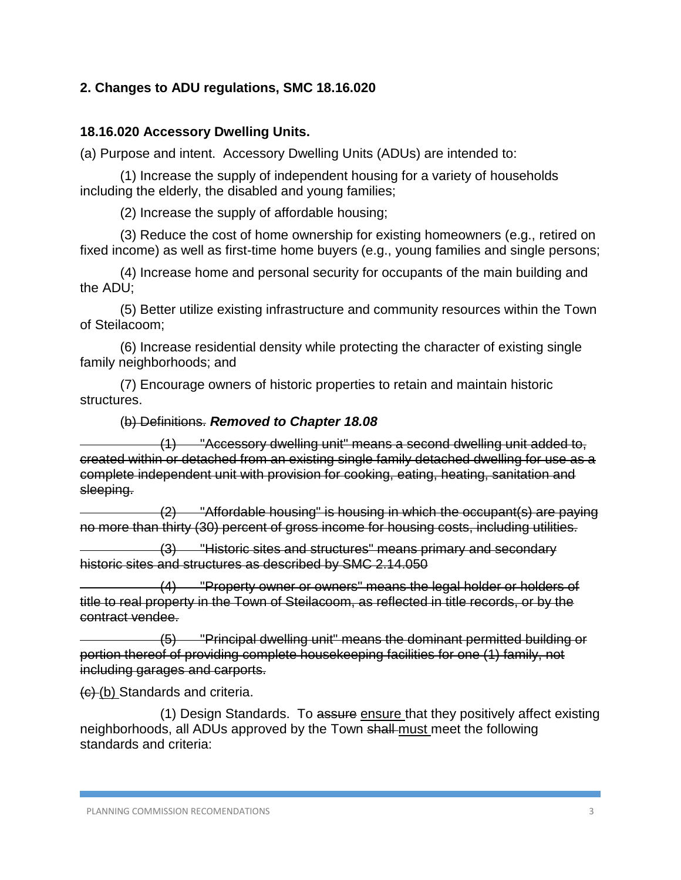### **2. Changes to ADU regulations, SMC 18.16.020**

#### **18.16.020 Accessory Dwelling Units.**

(a) Purpose and intent. Accessory Dwelling Units (ADUs) are intended to:

(1) Increase the supply of independent housing for a variety of households including the elderly, the disabled and young families;

(2) Increase the supply of affordable housing;

(3) Reduce the cost of home ownership for existing homeowners (e.g., retired on fixed income) as well as first-time home buyers (e.g., young families and single persons;

(4) Increase home and personal security for occupants of the main building and the ADU;

(5) Better utilize existing infrastructure and community resources within the Town of Steilacoom;

(6) Increase residential density while protecting the character of existing single family neighborhoods; and

(7) Encourage owners of historic properties to retain and maintain historic structures.

#### (b) Definitions. *Removed to Chapter 18.08*

(1) "Accessory dwelling unit" means a second dwelling unit added to, created within or detached from an existing single family detached dwelling for use as a complete independent unit with provision for cooking, eating, heating, sanitation and sleeping.

(2) "Affordable housing" is housing in which the occupant(s) are paying no more than thirty (30) percent of gross income for housing costs, including utilities.

(3) "Historic sites and structures" means primary and secondary historic sites and structures as described by SMC 2.14.050

(4) "Property owner or owners" means the legal holder or holders of title to real property in the Town of Steilacoom, as reflected in title records, or by the contract vendee.

(5) "Principal dwelling unit" means the dominant permitted building or portion thereof of providing complete housekeeping facilities for one (1) family, not including garages and carports.

(c) (b) Standards and criteria.

(1) Design Standards. To assure ensure that they positively affect existing neighborhoods, all ADUs approved by the Town shall must meet the following standards and criteria: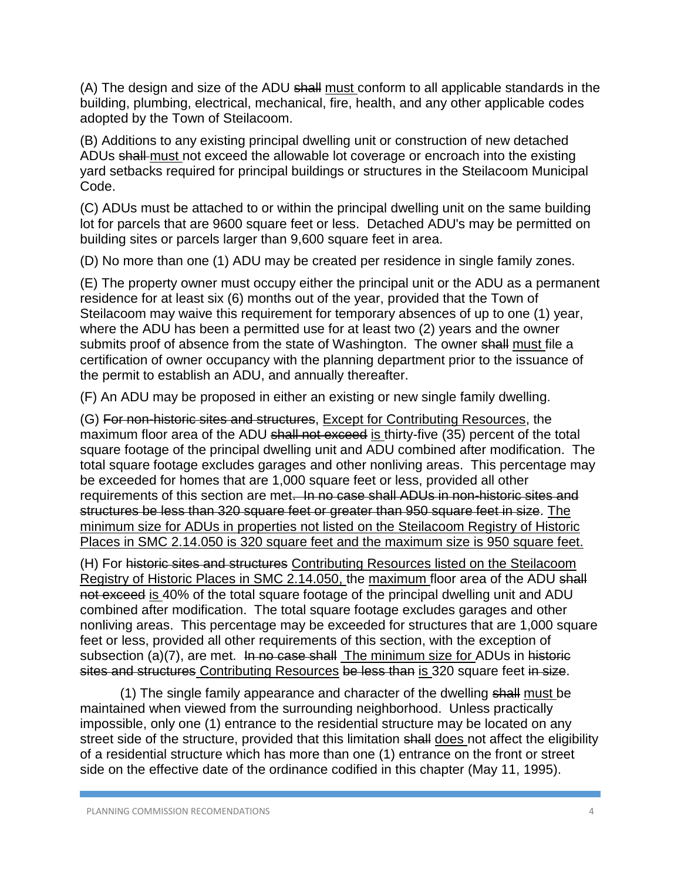(A) The design and size of the ADU shall must conform to all applicable standards in the building, plumbing, electrical, mechanical, fire, health, and any other applicable codes adopted by the Town of Steilacoom.

(B) Additions to any existing principal dwelling unit or construction of new detached ADUs shall must not exceed the allowable lot coverage or encroach into the existing yard setbacks required for principal buildings or structures in the Steilacoom Municipal Code.

(C) ADUs must be attached to or within the principal dwelling unit on the same building lot for parcels that are 9600 square feet or less. Detached ADU's may be permitted on building sites or parcels larger than 9,600 square feet in area.

(D) No more than one (1) ADU may be created per residence in single family zones.

(E) The property owner must occupy either the principal unit or the ADU as a permanent residence for at least six (6) months out of the year, provided that the Town of Steilacoom may waive this requirement for temporary absences of up to one (1) year, where the ADU has been a permitted use for at least two (2) years and the owner submits proof of absence from the state of Washington. The owner shall must file a certification of owner occupancy with the planning department prior to the issuance of the permit to establish an ADU, and annually thereafter.

(F) An ADU may be proposed in either an existing or new single family dwelling.

(G) For non-historic sites and structures, Except for Contributing Resources, the maximum floor area of the ADU shall not exceed is thirty-five (35) percent of the total square footage of the principal dwelling unit and ADU combined after modification. The total square footage excludes garages and other nonliving areas. This percentage may be exceeded for homes that are 1,000 square feet or less, provided all other requirements of this section are met. In no case shall ADUs in non-historic sites and structures be less than 320 square feet or greater than 950 square feet in size. The minimum size for ADUs in properties not listed on the Steilacoom Registry of Historic Places in SMC 2.14.050 is 320 square feet and the maximum size is 950 square feet.

(H) For historic sites and structures Contributing Resources listed on the Steilacoom Registry of Historic Places in SMC 2.14.050, the maximum floor area of the ADU shall not exceed is 40% of the total square footage of the principal dwelling unit and ADU combined after modification. The total square footage excludes garages and other nonliving areas. This percentage may be exceeded for structures that are 1,000 square feet or less, provided all other requirements of this section, with the exception of subsection (a)(7), are met. In no case shall The minimum size for ADUs in historic sites and structures Contributing Resources be less than is 320 square feet in size.

(1) The single family appearance and character of the dwelling shall must be maintained when viewed from the surrounding neighborhood. Unless practically impossible, only one (1) entrance to the residential structure may be located on any street side of the structure, provided that this limitation shall does not affect the eligibility of a residential structure which has more than one (1) entrance on the front or street side on the effective date of the ordinance codified in this chapter (May 11, 1995).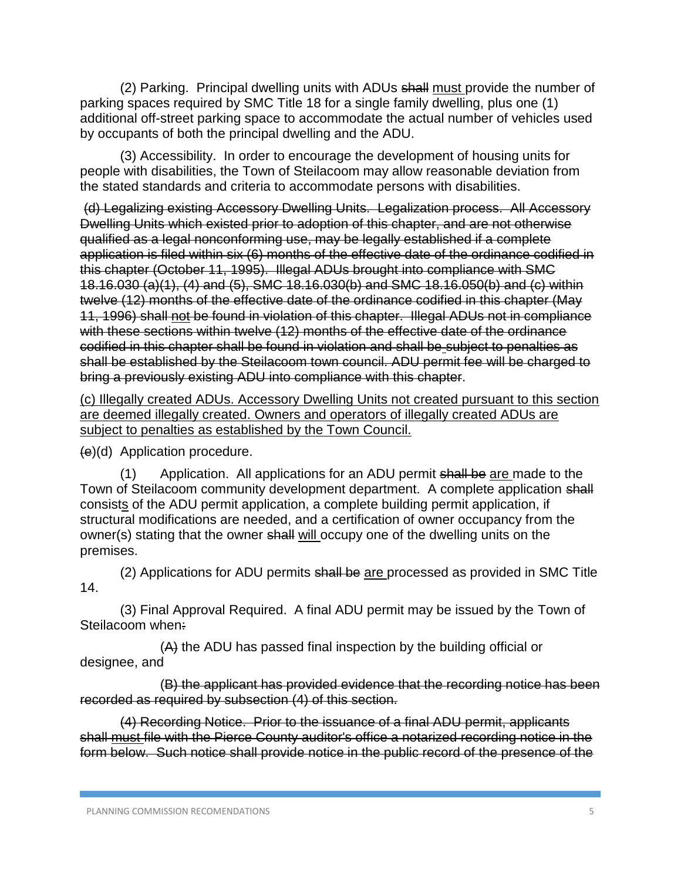(2) Parking. Principal dwelling units with ADUs shall must provide the number of parking spaces required by SMC Title 18 for a single family dwelling, plus one (1) additional off-street parking space to accommodate the actual number of vehicles used by occupants of both the principal dwelling and the ADU.

(3) Accessibility. In order to encourage the development of housing units for people with disabilities, the Town of Steilacoom may allow reasonable deviation from the stated standards and criteria to accommodate persons with disabilities.

(d) Legalizing existing Accessory Dwelling Units. Legalization process. All Accessory Dwelling Units which existed prior to adoption of this chapter, and are not otherwise qualified as a legal nonconforming use, may be legally established if a complete application is filed within six (6) months of the effective date of the ordinance codified in this chapter (October 11, 1995). Illegal ADUs brought into compliance with SMC 18.16.030 (a)(1), (4) and (5), SMC 18.16.030(b) and SMC 18.16.050(b) and (c) within twelve (12) months of the effective date of the ordinance codified in this chapter (May 11, 1996) shall not be found in violation of this chapter. Illegal ADUs not in compliance with these sections within twelve (12) months of the effective date of the ordinance codified in this chapter shall be found in violation and shall be subject to penalties as shall be established by the Steilacoom town council. ADU permit fee will be charged to bring a previously existing ADU into compliance with this chapter.

(c) Illegally created ADUs. Accessory Dwelling Units not created pursuant to this section are deemed illegally created. Owners and operators of illegally created ADUs are subject to penalties as established by the Town Council.

(e)(d) Application procedure.

(1) Application. All applications for an ADU permit shall be are made to the Town of Steilacoom community development department. A complete application shall consists of the ADU permit application, a complete building permit application, if structural modifications are needed, and a certification of owner occupancy from the owner(s) stating that the owner shall will occupy one of the dwelling units on the premises.

(2) Applications for ADU permits shall be are processed as provided in SMC Title 14.

(3) Final Approval Required. A final ADU permit may be issued by the Town of Steilacoom when:

(A) the ADU has passed final inspection by the building official or designee, and

(B) the applicant has provided evidence that the recording notice has been recorded as required by subsection (4) of this section.

(4) Recording Notice. Prior to the issuance of a final ADU permit, applicants shall must file with the Pierce County auditor's office a notarized recording notice in the form below. Such notice shall provide notice in the public record of the presence of the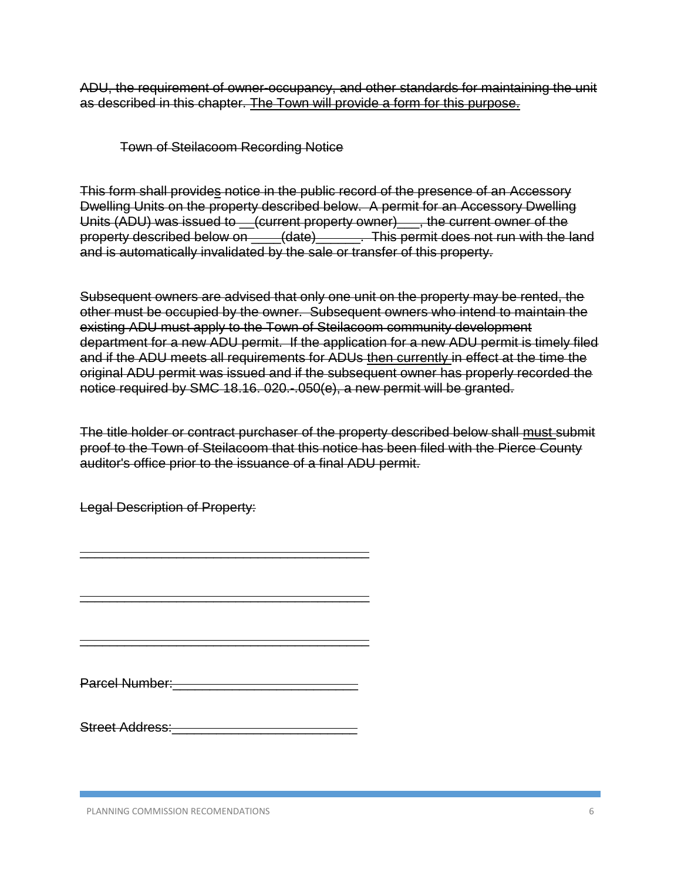ADU, the requirement of owner-occupancy, and other standards for maintaining the unit as described in this chapter. The Town will provide a form for this purpose.

Town of Steilacoom Recording Notice

This form shall provides notice in the public record of the presence of an Accessory Dwelling Units on the property described below. A permit for an Accessory Dwelling Units (ADU) was issued to \_\_(current property owner)\_\_\_, the current owner of the property described below on \_\_\_\_(date)\_\_\_\_\_\_. This permit does not run with the land and is automatically invalidated by the sale or transfer of this property.

Subsequent owners are advised that only one unit on the property may be rented, the other must be occupied by the owner. Subsequent owners who intend to maintain the existing ADU must apply to the Town of Steilacoom community development department for a new ADU permit. If the application for a new ADU permit is timely filed and if the ADU meets all requirements for ADUs then currently in effect at the time the original ADU permit was issued and if the subsequent owner has properly recorded the notice required by SMC 18.16. 020.-.050(e), a new permit will be granted.

The title holder or contract purchaser of the property described below shall must submit proof to the Town of Steilacoom that this notice has been filed with the Pierce County auditor's office prior to the issuance of a final ADU permit.

Legal Description of Property:

Parcel Number:

\_\_\_\_\_\_\_\_\_\_\_\_\_\_\_\_\_\_\_\_\_\_\_\_\_\_\_\_\_\_\_\_\_\_\_\_\_\_\_

\_\_\_\_\_\_\_\_\_\_\_\_\_\_\_\_\_\_\_\_\_\_\_\_\_\_\_\_\_\_\_\_\_\_\_\_\_\_\_

\_\_\_\_\_\_\_\_\_\_\_\_\_\_\_\_\_\_\_\_\_\_\_\_\_\_\_\_\_\_\_\_\_\_\_\_\_\_\_

Street Address: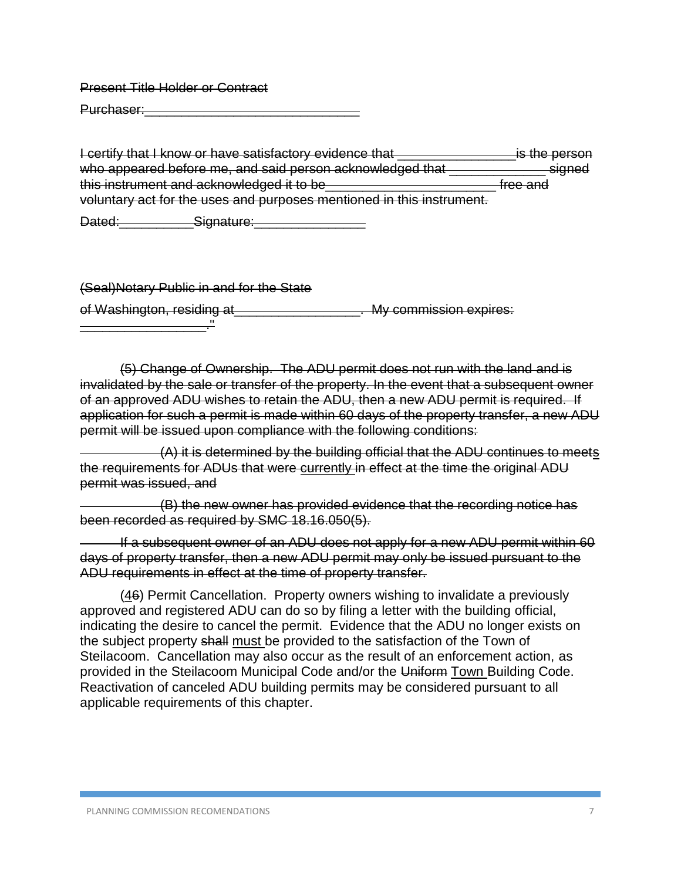Present Title Holder or Contract

Purchaser:

I certify that I know or have satisfactory evidence that **Example 2** is the person who appeared before me, and said person acknowledged that **with appeared** signed this instrument and acknowledged it to be \_\_\_\_\_\_\_\_\_\_\_\_\_\_\_\_\_\_\_\_\_\_\_\_\_\_\_\_\_free and voluntary act for the uses and purposes mentioned in this instrument.

Dated:\_\_\_\_\_\_\_\_\_\_Signature:\_\_\_\_\_\_\_\_\_\_\_\_\_\_\_

(Seal)Notary Public in and for the State

of Washington, residing at \_\_\_\_\_\_\_\_\_\_\_\_\_\_\_\_\_\_\_. My commission expires:

\_\_\_\_\_\_\_\_\_\_\_\_\_\_\_\_\_."

(5) Change of Ownership. The ADU permit does not run with the land and is invalidated by the sale or transfer of the property. In the event that a subsequent owner of an approved ADU wishes to retain the ADU, then a new ADU permit is required. If application for such a permit is made within 60 days of the property transfer, a new ADU permit will be issued upon compliance with the following conditions:

(A) it is determined by the building official that the ADU continues to meets the requirements for ADUs that were currently in effect at the time the original ADU permit was issued, and

(B) the new owner has provided evidence that the recording notice has been recorded as required by SMC 18.16.050(5).

If a subsequent owner of an ADU does not apply for a new ADU permit within 60 days of property transfer, then a new ADU permit may only be issued pursuant to the ADU requirements in effect at the time of property transfer.

(46) Permit Cancellation. Property owners wishing to invalidate a previously approved and registered ADU can do so by filing a letter with the building official, indicating the desire to cancel the permit. Evidence that the ADU no longer exists on the subject property shall must be provided to the satisfaction of the Town of Steilacoom. Cancellation may also occur as the result of an enforcement action, as provided in the Steilacoom Municipal Code and/or the Uniform Town Building Code. Reactivation of canceled ADU building permits may be considered pursuant to all applicable requirements of this chapter.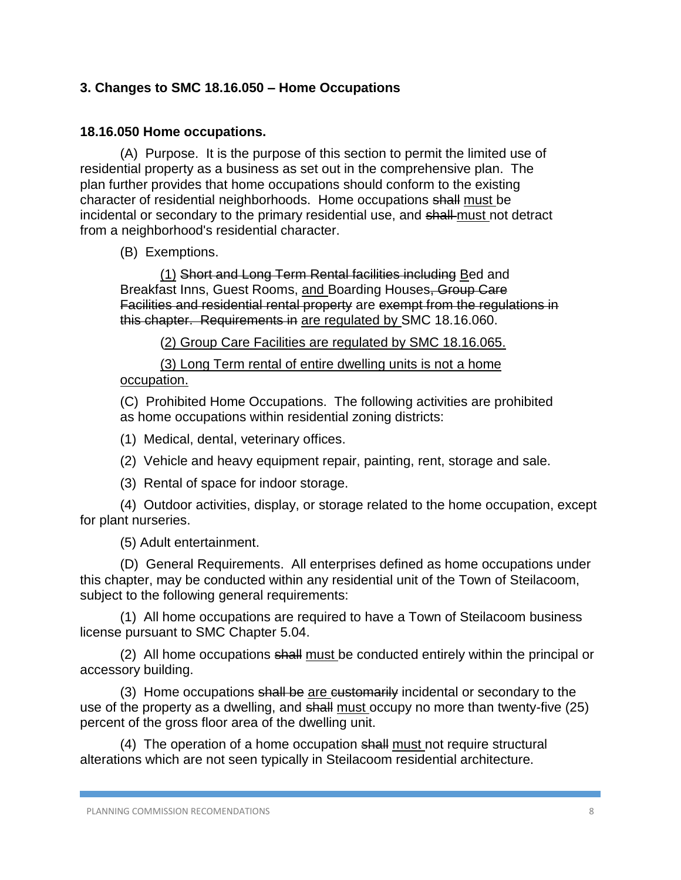### **3. Changes to SMC 18.16.050 – Home Occupations**

#### **18.16.050 Home occupations.**

(A) Purpose. It is the purpose of this section to permit the limited use of residential property as a business as set out in the comprehensive plan. The plan further provides that home occupations should conform to the existing character of residential neighborhoods. Home occupations shall must be incidental or secondary to the primary residential use, and shall must not detract from a neighborhood's residential character.

(B) Exemptions.

(1) Short and Long Term Rental facilities including Bed and Breakfast Inns, Guest Rooms, and Boarding Houses, Group Care Facilities and residential rental property are exempt from the regulations in this chapter. Requirements in are regulated by SMC 18.16.060.

(2) Group Care Facilities are regulated by SMC 18.16.065.

(3) Long Term rental of entire dwelling units is not a home occupation.

(C) Prohibited Home Occupations. The following activities are prohibited as home occupations within residential zoning districts:

(1) Medical, dental, veterinary offices.

(2) Vehicle and heavy equipment repair, painting, rent, storage and sale.

(3) Rental of space for indoor storage.

(4) Outdoor activities, display, or storage related to the home occupation, except for plant nurseries.

(5) Adult entertainment.

(D) General Requirements. All enterprises defined as home occupations under this chapter, may be conducted within any residential unit of the Town of Steilacoom, subject to the following general requirements:

(1) All home occupations are required to have a Town of Steilacoom business license pursuant to SMC Chapter 5.04.

(2) All home occupations shall must be conducted entirely within the principal or accessory building.

(3) Home occupations shall be are customarily incidental or secondary to the use of the property as a dwelling, and shall must occupy no more than twenty-five (25) percent of the gross floor area of the dwelling unit.

(4) The operation of a home occupation shall must not require structural alterations which are not seen typically in Steilacoom residential architecture.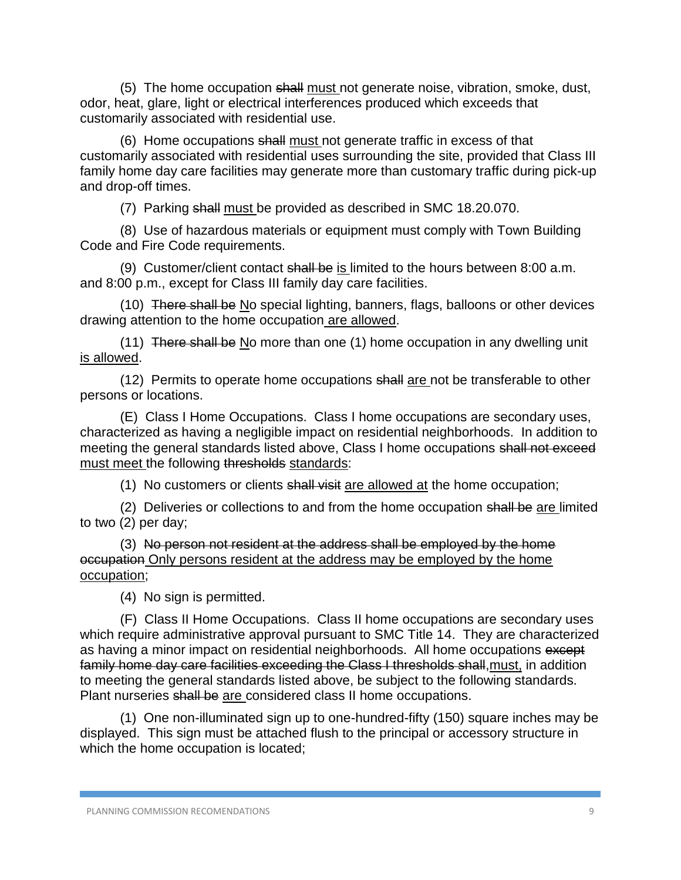(5) The home occupation shall must not generate noise, vibration, smoke, dust, odor, heat, glare, light or electrical interferences produced which exceeds that customarily associated with residential use.

(6) Home occupations shall must not generate traffic in excess of that customarily associated with residential uses surrounding the site, provided that Class III family home day care facilities may generate more than customary traffic during pick-up and drop-off times.

(7) Parking shall must be provided as described in SMC 18.20.070.

(8) Use of hazardous materials or equipment must comply with Town Building Code and Fire Code requirements.

(9) Customer/client contact shall be is limited to the hours between 8:00 a.m. and 8:00 p.m., except for Class III family day care facilities.

(10) There shall be No special lighting, banners, flags, balloons or other devices drawing attention to the home occupation are allowed.

(11) There shall be No more than one (1) home occupation in any dwelling unit is allowed.

(12) Permits to operate home occupations shall are not be transferable to other persons or locations.

(E) Class I Home Occupations. Class I home occupations are secondary uses, characterized as having a negligible impact on residential neighborhoods. In addition to meeting the general standards listed above, Class I home occupations shall not exceed must meet the following thresholds standards:

(1) No customers or clients shall visit are allowed at the home occupation;

(2) Deliveries or collections to and from the home occupation shall be are limited to two  $(2)$  per day;

(3) No person not resident at the address shall be employed by the home occupation Only persons resident at the address may be employed by the home occupation;

(4) No sign is permitted.

(F) Class II Home Occupations. Class II home occupations are secondary uses which require administrative approval pursuant to SMC Title 14. They are characterized as having a minor impact on residential neighborhoods. All home occupations except family home day care facilities exceeding the Class I thresholds shall, must, in addition to meeting the general standards listed above, be subject to the following standards. Plant nurseries shall be are considered class II home occupations.

(1) One non-illuminated sign up to one-hundred-fifty (150) square inches may be displayed. This sign must be attached flush to the principal or accessory structure in which the home occupation is located;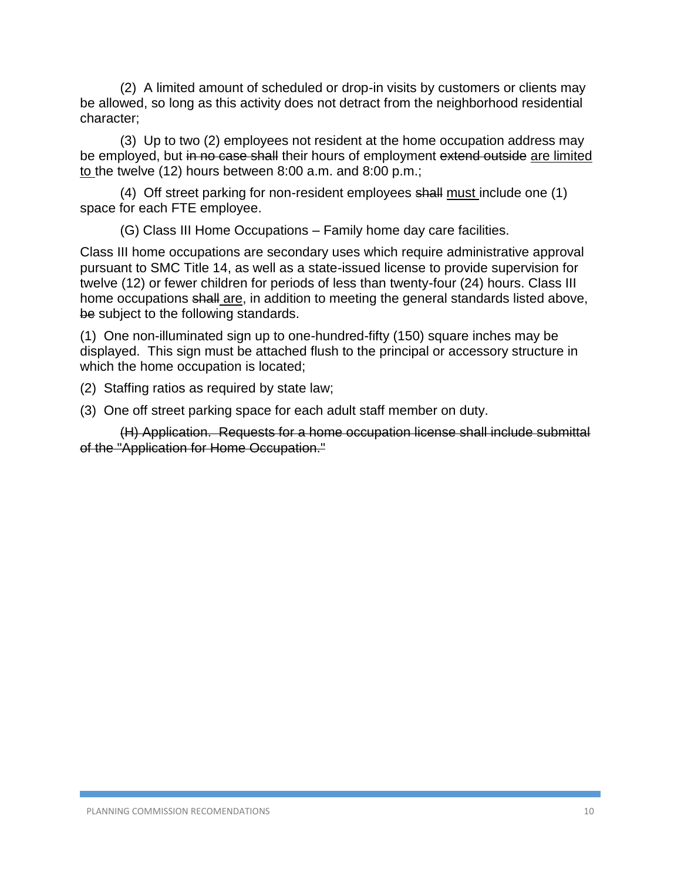(2) A limited amount of scheduled or drop-in visits by customers or clients may be allowed, so long as this activity does not detract from the neighborhood residential character;

(3) Up to two (2) employees not resident at the home occupation address may be employed, but in no case shall their hours of employment extend outside are limited to the twelve (12) hours between 8:00 a.m. and 8:00 p.m.;

(4) Off street parking for non-resident employees shall must include one (1) space for each FTE employee.

(G) Class III Home Occupations – Family home day care facilities.

Class III home occupations are secondary uses which require administrative approval pursuant to SMC Title 14, as well as a state-issued license to provide supervision for twelve (12) or fewer children for periods of less than twenty-four (24) hours. Class III home occupations shall are, in addition to meeting the general standards listed above, be subject to the following standards.

(1) One non-illuminated sign up to one-hundred-fifty (150) square inches may be displayed. This sign must be attached flush to the principal or accessory structure in which the home occupation is located;

(2) Staffing ratios as required by state law;

(3) One off street parking space for each adult staff member on duty.

(H) Application. Requests for a home occupation license shall include submittal of the "Application for Home Occupation."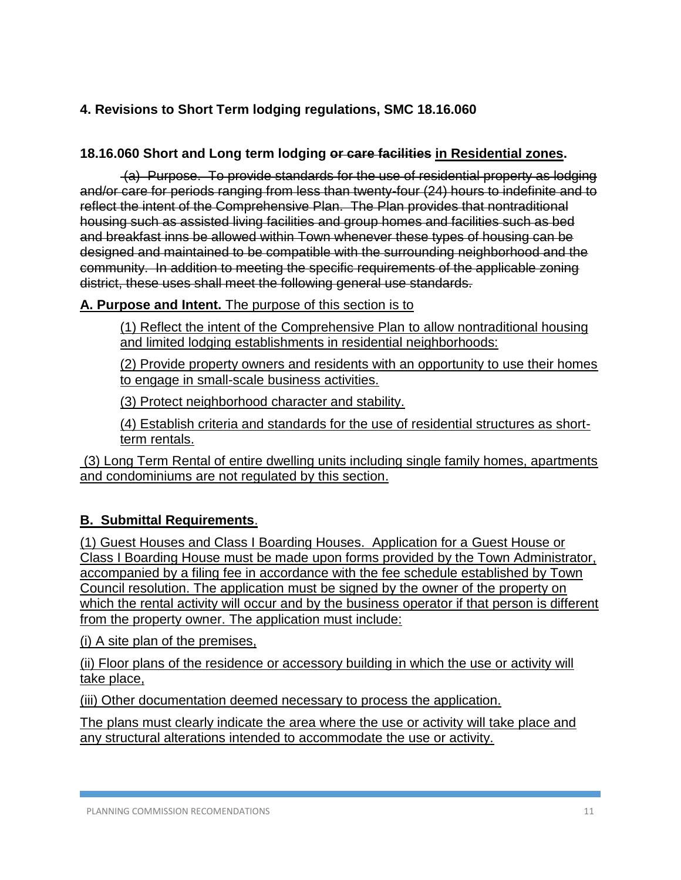# **4. Revisions to Short Term lodging regulations, SMC 18.16.060**

## **18.16.060 Short and Long term lodging or care facilities in Residential zones.**

(a) Purpose. To provide standards for the use of residential property as lodging and/or care for periods ranging from less than twenty-four (24) hours to indefinite and to reflect the intent of the Comprehensive Plan. The Plan provides that nontraditional housing such as assisted living facilities and group homes and facilities such as bed and breakfast inns be allowed within Town whenever these types of housing can be designed and maintained to be compatible with the surrounding neighborhood and the community. In addition to meeting the specific requirements of the applicable zoning district, these uses shall meet the following general use standards.

### **A. Purpose and Intent.** The purpose of this section is to

(1) Reflect the intent of the Comprehensive Plan to allow nontraditional housing and limited lodging establishments in residential neighborhoods:

(2) Provide property owners and residents with an opportunity to use their homes to engage in small-scale business activities.

(3) Protect neighborhood character and stability.

(4) Establish criteria and standards for the use of residential structures as shortterm rentals.

(3) Long Term Rental of entire dwelling units including single family homes, apartments and condominiums are not regulated by this section.

# **B. Submittal Requirements**.

(1) Guest Houses and Class I Boarding Houses. Application for a Guest House or Class I Boarding House must be made upon forms provided by the Town Administrator, accompanied by a filing fee in accordance with the fee schedule established by Town Council resolution. The application must be signed by the owner of the property on which the rental activity will occur and by the business operator if that person is different from the property owner. The application must include:

(i) A site plan of the premises,

(ii) Floor plans of the residence or accessory building in which the use or activity will take place,

(iii) Other documentation deemed necessary to process the application.

The plans must clearly indicate the area where the use or activity will take place and any structural alterations intended to accommodate the use or activity.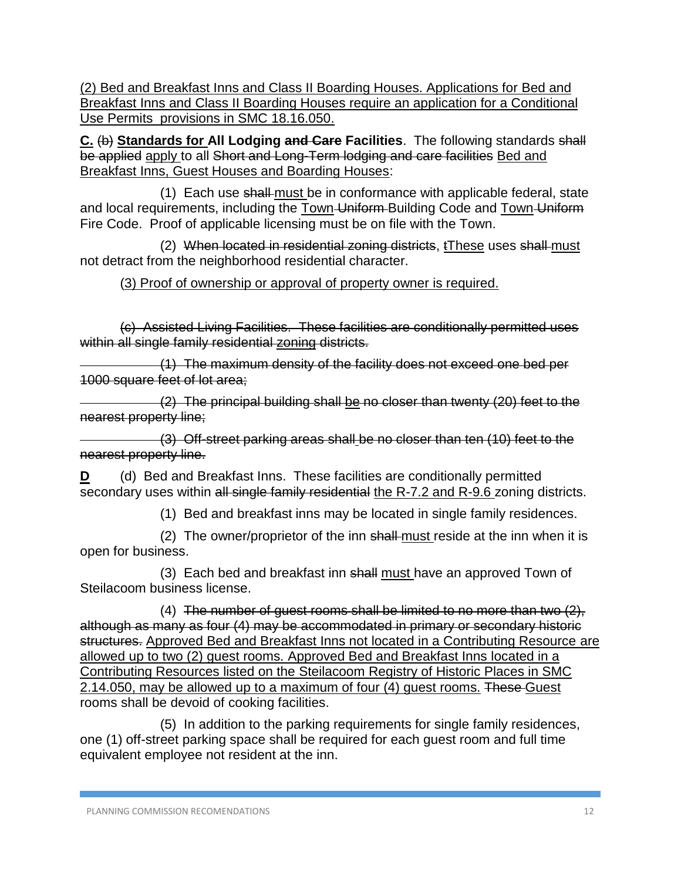(2) Bed and Breakfast Inns and Class II Boarding Houses. Applications for Bed and Breakfast Inns and Class II Boarding Houses require an application for a Conditional Use Permits provisions in SMC 18.16.050.

**C.** (b) **Standards for All Lodging and Care Facilities**. The following standards shall be applied apply to all Short and Long-Term lodging and care facilities Bed and Breakfast Inns, Guest Houses and Boarding Houses:

(1) Each use shall must be in conformance with applicable federal, state and local requirements, including the Town-Uniform-Building Code and Town-Uniform Fire Code. Proof of applicable licensing must be on file with the Town.

(2) When located in residential zoning districts, tThese uses shall must not detract from the neighborhood residential character.

## (3) Proof of ownership or approval of property owner is required.

(c) Assisted Living Facilities. These facilities are conditionally permitted uses within all single family residential zoning districts.

(1) The maximum density of the facility does not exceed one bed per 1000 square feet of lot area;

(2) The principal building shall be no closer than twenty (20) feet to the nearest property line;

(3) Off-street parking areas shall be no closer than ten (10) feet to the nearest property line.

**D** (d) Bed and Breakfast Inns. These facilities are conditionally permitted secondary uses within all single family residential the R-7.2 and R-9.6 zoning districts.

(1) Bed and breakfast inns may be located in single family residences.

(2) The owner/proprietor of the inn shall-must reside at the inn when it is open for business.

(3) Each bed and breakfast inn shall must have an approved Town of Steilacoom business license.

(4) The number of guest rooms shall be limited to no more than two  $(2)$ , although as many as four (4) may be accommodated in primary or secondary historic structures. Approved Bed and Breakfast Inns not located in a Contributing Resource are allowed up to two (2) guest rooms. Approved Bed and Breakfast Inns located in a Contributing Resources listed on the Steilacoom Registry of Historic Places in SMC 2.14.050, may be allowed up to a maximum of four (4) guest rooms. These Guest rooms shall be devoid of cooking facilities.

(5) In addition to the parking requirements for single family residences, one (1) off-street parking space shall be required for each guest room and full time equivalent employee not resident at the inn.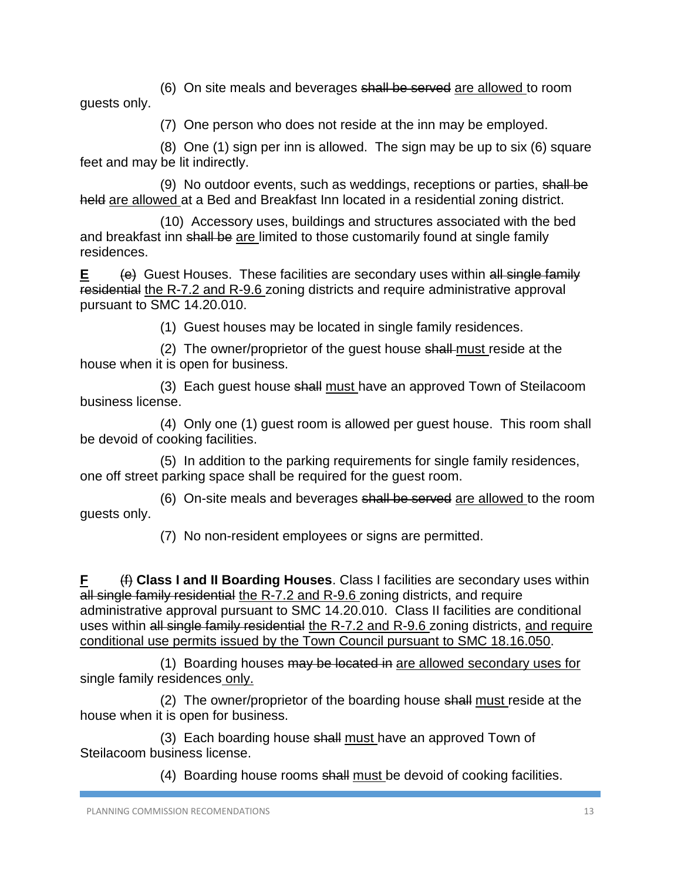(6) On site meals and beverages shall be served are allowed to room guests only.

(7) One person who does not reside at the inn may be employed.

(8) One (1) sign per inn is allowed. The sign may be up to six (6) square feet and may be lit indirectly.

(9) No outdoor events, such as weddings, receptions or parties, shall be held are allowed at a Bed and Breakfast Inn located in a residential zoning district.

(10) Accessory uses, buildings and structures associated with the bed and breakfast inn shall be are limited to those customarily found at single family residences.

**E** (e) Guest Houses. These facilities are secondary uses within all single family residential the R-7.2 and R-9.6 zoning districts and require administrative approval pursuant to SMC 14.20.010.

(1) Guest houses may be located in single family residences.

(2) The owner/proprietor of the quest house shall must reside at the house when it is open for business.

(3) Each guest house shall must have an approved Town of Steilacoom business license.

(4) Only one (1) guest room is allowed per guest house. This room shall be devoid of cooking facilities.

(5) In addition to the parking requirements for single family residences, one off street parking space shall be required for the guest room.

(6) On-site meals and beverages shall be served are allowed to the room guests only.

(7) No non-resident employees or signs are permitted.

**F** (f) **Class I and II Boarding Houses**. Class I facilities are secondary uses within all single family residential the R-7.2 and R-9.6 zoning districts, and require administrative approval pursuant to SMC 14.20.010. Class II facilities are conditional uses within all single family residential the R-7.2 and R-9.6 zoning districts, and require conditional use permits issued by the Town Council pursuant to SMC 18.16.050.

(1) Boarding houses may be located in are allowed secondary uses for single family residences only.

(2) The owner/proprietor of the boarding house shall must reside at the house when it is open for business.

(3) Each boarding house shall must have an approved Town of Steilacoom business license.

(4) Boarding house rooms shall must be devoid of cooking facilities.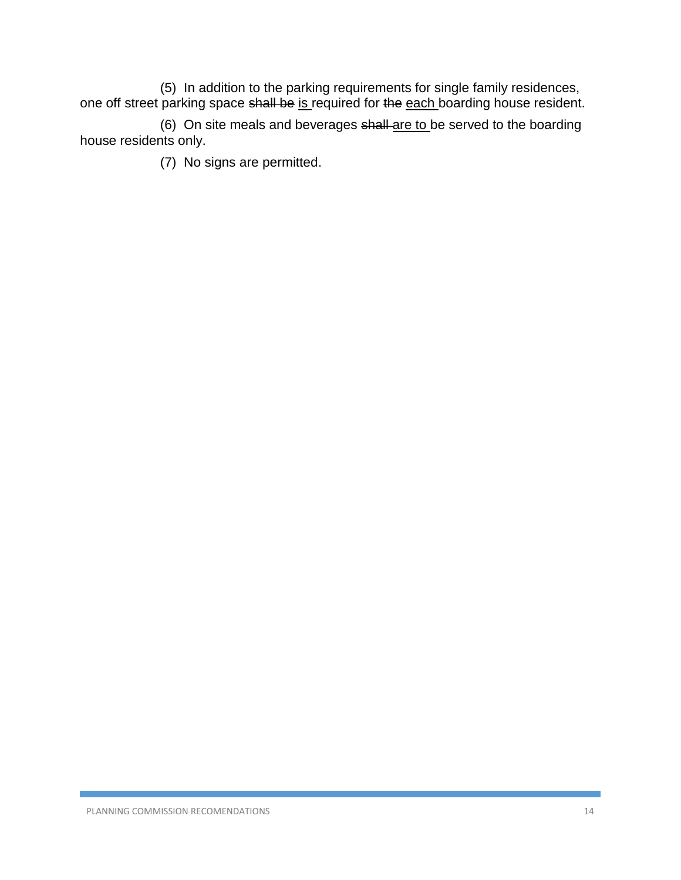(5) In addition to the parking requirements for single family residences, one off street parking space shall be is required for the each boarding house resident.

(6) On site meals and beverages shall-are to be served to the boarding house residents only.

(7) No signs are permitted.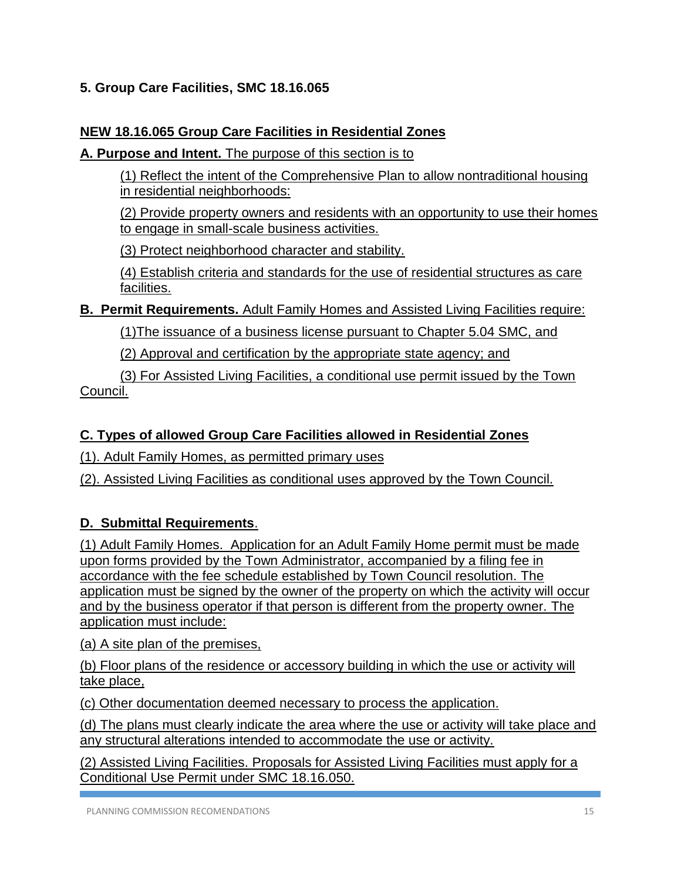# **5. Group Care Facilities, SMC 18.16.065**

## **NEW 18.16.065 Group Care Facilities in Residential Zones**

**A. Purpose and Intent.** The purpose of this section is to

(1) Reflect the intent of the Comprehensive Plan to allow nontraditional housing in residential neighborhoods:

(2) Provide property owners and residents with an opportunity to use their homes to engage in small-scale business activities.

(3) Protect neighborhood character and stability.

(4) Establish criteria and standards for the use of residential structures as care facilities.

**B. Permit Requirements.** Adult Family Homes and Assisted Living Facilities require:

(1)The issuance of a business license pursuant to Chapter 5.04 SMC, and

(2) Approval and certification by the appropriate state agency; and

(3) For Assisted Living Facilities, a conditional use permit issued by the Town Council.

# **C. Types of allowed Group Care Facilities allowed in Residential Zones**

(1). Adult Family Homes, as permitted primary uses

(2). Assisted Living Facilities as conditional uses approved by the Town Council.

# **D. Submittal Requirements**.

(1) Adult Family Homes. Application for an Adult Family Home permit must be made upon forms provided by the Town Administrator, accompanied by a filing fee in accordance with the fee schedule established by Town Council resolution. The application must be signed by the owner of the property on which the activity will occur and by the business operator if that person is different from the property owner. The application must include:

(a) A site plan of the premises,

(b) Floor plans of the residence or accessory building in which the use or activity will take place,

(c) Other documentation deemed necessary to process the application.

(d) The plans must clearly indicate the area where the use or activity will take place and any structural alterations intended to accommodate the use or activity.

(2) Assisted Living Facilities. Proposals for Assisted Living Facilities must apply for a Conditional Use Permit under SMC 18.16.050.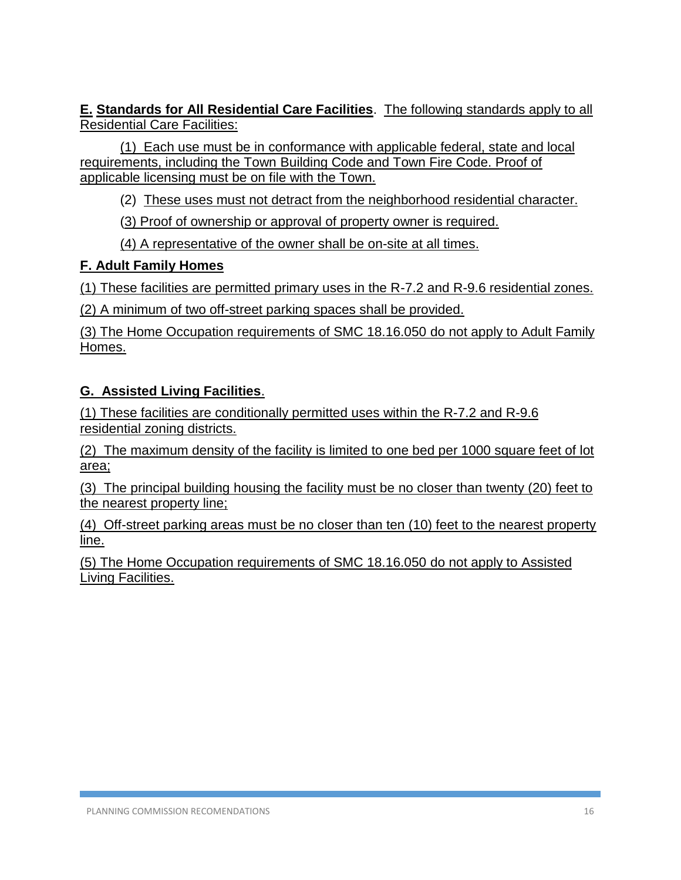**E. Standards for All Residential Care Facilities**. The following standards apply to all Residential Care Facilities:

(1) Each use must be in conformance with applicable federal, state and local requirements, including the Town Building Code and Town Fire Code. Proof of applicable licensing must be on file with the Town.

(2) These uses must not detract from the neighborhood residential character.

(3) Proof of ownership or approval of property owner is required.

(4) A representative of the owner shall be on-site at all times.

### **F. Adult Family Homes**

(1) These facilities are permitted primary uses in the R-7.2 and R-9.6 residential zones.

(2) A minimum of two off-street parking spaces shall be provided.

(3) The Home Occupation requirements of SMC 18.16.050 do not apply to Adult Family Homes.

# **G. Assisted Living Facilities**.

(1) These facilities are conditionally permitted uses within the R-7.2 and R-9.6 residential zoning districts.

(2) The maximum density of the facility is limited to one bed per 1000 square feet of lot area;

(3) The principal building housing the facility must be no closer than twenty (20) feet to the nearest property line;

(4) Off-street parking areas must be no closer than ten (10) feet to the nearest property line.

(5) The Home Occupation requirements of SMC 18.16.050 do not apply to Assisted Living Facilities.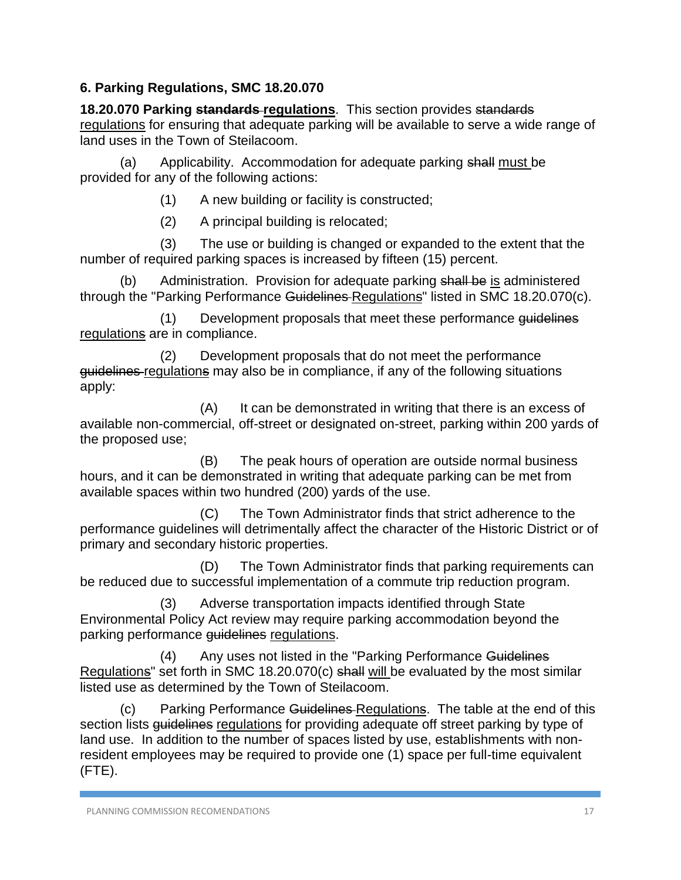# **6. Parking Regulations, SMC 18.20.070**

**18.20.070 Parking standards regulations**. This section provides standards regulations for ensuring that adequate parking will be available to serve a wide range of land uses in the Town of Steilacoom.

(a) Applicability. Accommodation for adequate parking shall must be provided for any of the following actions:

(1) A new building or facility is constructed;

(2) A principal building is relocated;

(3) The use or building is changed or expanded to the extent that the number of required parking spaces is increased by fifteen (15) percent.

Administration. Provision for adequate parking shall be is administered through the "Parking Performance Guidelines Regulations" listed in SMC 18.20.070(c).

(1) Development proposals that meet these performance guidelines regulations are in compliance.

(2) Development proposals that do not meet the performance guidelines regulations may also be in compliance, if any of the following situations apply:

(A) It can be demonstrated in writing that there is an excess of available non-commercial, off-street or designated on-street, parking within 200 yards of the proposed use;

(B) The peak hours of operation are outside normal business hours, and it can be demonstrated in writing that adequate parking can be met from available spaces within two hundred (200) yards of the use.

(C) The Town Administrator finds that strict adherence to the performance guidelines will detrimentally affect the character of the Historic District or of primary and secondary historic properties.

(D) The Town Administrator finds that parking requirements can be reduced due to successful implementation of a commute trip reduction program.

Adverse transportation impacts identified through State Environmental Policy Act review may require parking accommodation beyond the parking performance guidelines regulations.

(4) Any uses not listed in the "Parking Performance Guidelines Regulations" set forth in SMC 18.20.070(c) shall will be evaluated by the most similar listed use as determined by the Town of Steilacoom.

(c) Parking Performance Guidelines Regulations. The table at the end of this section lists guidelines regulations for providing adequate off street parking by type of land use. In addition to the number of spaces listed by use, establishments with nonresident employees may be required to provide one (1) space per full-time equivalent (FTE).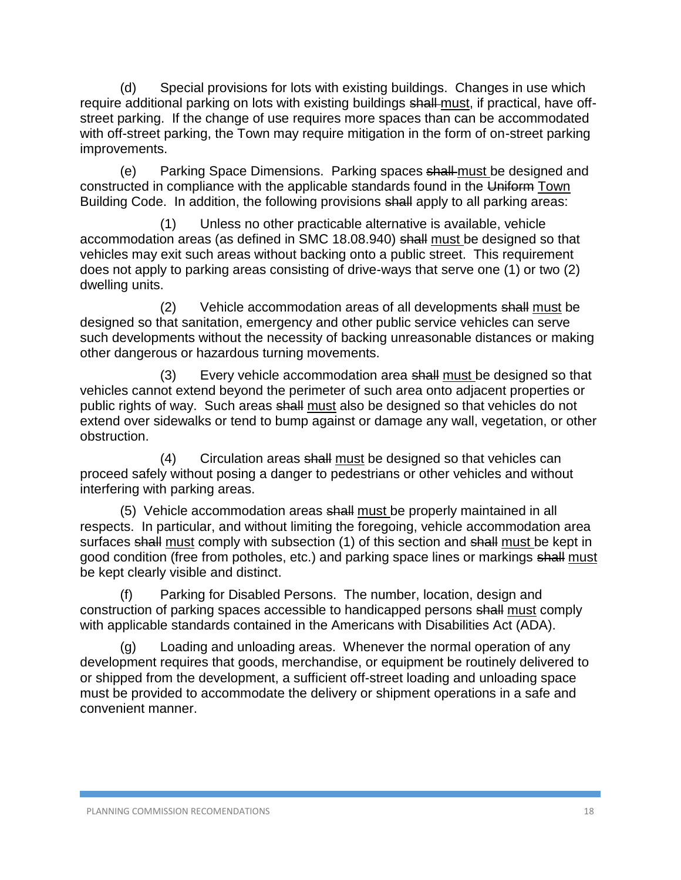(d) Special provisions for lots with existing buildings. Changes in use which require additional parking on lots with existing buildings shall must, if practical, have offstreet parking. If the change of use requires more spaces than can be accommodated with off-street parking, the Town may require mitigation in the form of on-street parking improvements.

(e) Parking Space Dimensions. Parking spaces shall must be designed and constructed in compliance with the applicable standards found in the Uniform Town Building Code. In addition, the following provisions shall apply to all parking areas:

(1) Unless no other practicable alternative is available, vehicle accommodation areas (as defined in SMC 18.08.940) shall must be designed so that vehicles may exit such areas without backing onto a public street. This requirement does not apply to parking areas consisting of drive-ways that serve one (1) or two (2) dwelling units.

(2) Vehicle accommodation areas of all developments shall must be designed so that sanitation, emergency and other public service vehicles can serve such developments without the necessity of backing unreasonable distances or making other dangerous or hazardous turning movements.

(3) Every vehicle accommodation area shall must be designed so that vehicles cannot extend beyond the perimeter of such area onto adjacent properties or public rights of way. Such areas shall must also be designed so that vehicles do not extend over sidewalks or tend to bump against or damage any wall, vegetation, or other obstruction.

(4) Circulation areas shall must be designed so that vehicles can proceed safely without posing a danger to pedestrians or other vehicles and without interfering with parking areas.

(5) Vehicle accommodation areas shall must be properly maintained in all respects. In particular, and without limiting the foregoing, vehicle accommodation area surfaces shall must comply with subsection (1) of this section and shall must be kept in good condition (free from potholes, etc.) and parking space lines or markings shall must be kept clearly visible and distinct.

(f) Parking for Disabled Persons. The number, location, design and construction of parking spaces accessible to handicapped persons shall must comply with applicable standards contained in the Americans with Disabilities Act (ADA).

(g) Loading and unloading areas. Whenever the normal operation of any development requires that goods, merchandise, or equipment be routinely delivered to or shipped from the development, a sufficient off-street loading and unloading space must be provided to accommodate the delivery or shipment operations in a safe and convenient manner.